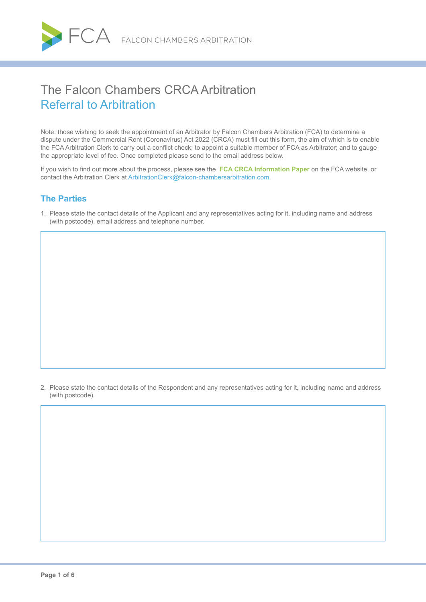

# The Falcon Chambers CRCA Arbitration Referral to Arbitration

Note: those wishing to seek the appointment of an Arbitrator by Falcon Chambers Arbitration (FCA) to determine a dispute under the Commercial Rent (Coronavirus) Act 2022 (CRCA) must fill out this form, the aim of which is to enable the FCA Arbitration Clerk to carry out a conflict check; to appoint a suitable member of FCA as Arbitrator; and to gauge the appropriate level of fee. Once completed please send to the email address below.

If you wish to find out more about the process, please see the **[FCA CRCA Information Paper](https://www.falcon-chambersarbitration.com/crca/falcon-chambers-CRCA-Arbitrationscheme-information-paper)** on the FCA website, or contact the Arbitration Clerk at [ArbitrationClerk@falcon-chambersarbitration.com](mailto:ArbitrationClerk%40falcon-chambersarbitration.com?subject=).

# **The Parties**

1. Please state the contact details of the Applicant and any representatives acting for it, including name and address (with postcode), email address and telephone number.

2. Please state the contact details of the Respondent and any representatives acting for it, including name and address (with postcode).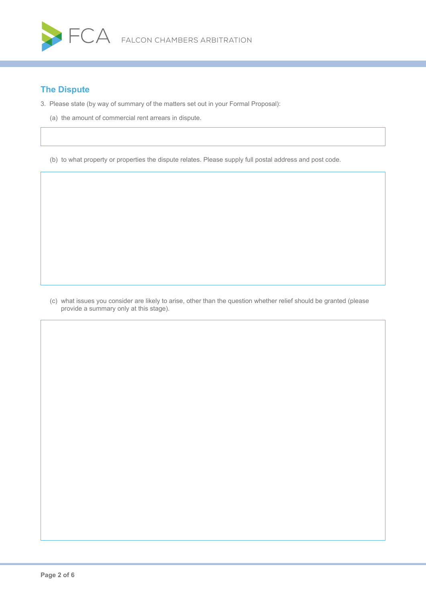

# **The Dispute**

- 3. Please state (by way of summary of the matters set out in your Formal Proposal):
	- (a) the amount of commercial rent arrears in dispute.

(b) to what property or properties the dispute relates. Please supply full postal address and post code.

(c) what issues you consider are likely to arise, other than the question whether relief should be granted (please provide a summary only at this stage).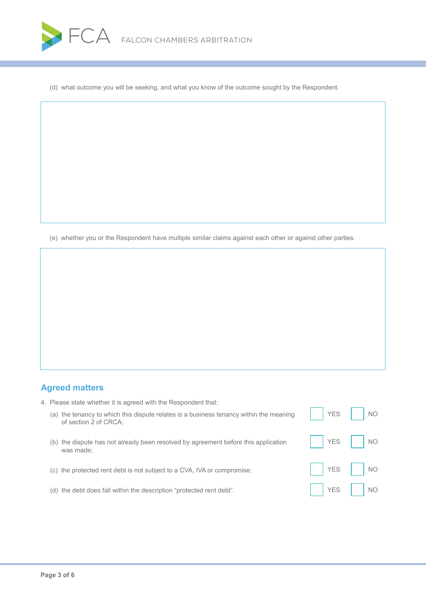

(d) what outcome you will be seeking, and what you know of the outcome sought by the Respondent.

(e) whether you or the Respondent have multiple similar claims against each other or against other parties.

# **Agreed matters**

|     | (a) the tenancy to which this dispute relates is a business tenancy within the meaning<br>of section 2 of CRCA: | <b>YES</b> | <b>NO</b> |
|-----|-----------------------------------------------------------------------------------------------------------------|------------|-----------|
| (b) | the dispute has not already been resolved by agreement before this application<br>was made:                     | <b>YES</b> | <b>NO</b> |
| (C) | the protected rent debt is not subject to a CVA, IVA or compromise;                                             | <b>YES</b> | <b>NO</b> |
|     | (d) the debt does fall within the description "protected rent debt".                                            | <b>YES</b> | <b>NO</b> |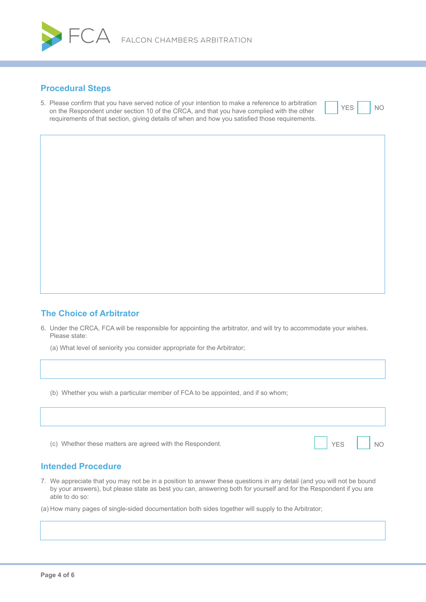

## **Procedural Steps**

5. Please confirm that you have served notice of your intention to make a reference to arbitration on the Respondent under section 10 of the CRCA, and that you have complied with the other requirements of that section, giving details of when and how you satisfied those requirements.



# **The Choice of Arbitrator**

6. Under the CRCA, FCA will be responsible for appointing the arbitrator, and will try to accommodate your wishes. Please state:

(a) What level of seniority you consider appropriate for the Arbitrator;

(b) Whether you wish a particular member of FCA to be appointed, and if so whom;

| (c) Whether these matters are agreed with the Respondent. | <b>YES</b> | <b>NO</b> |
|-----------------------------------------------------------|------------|-----------|

# **Intended Procedure**

- 7. We appreciate that you may not be in a position to answer these questions in any detail (and you will not be bound by your answers), but please state as best you can, answering both for yourself and for the Respondent if you are able to do so:
- (a) How many pages of single-sided documentation both sides together will supply to the Arbitrator;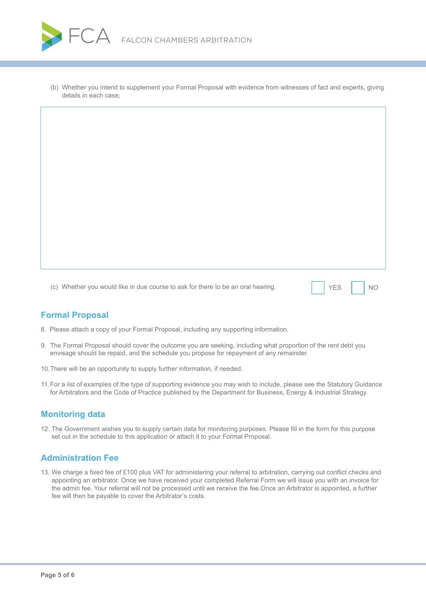

(b) Whether you intend to supplement your Formal Proposal with evidence from witnesses of fact and experts, giving details in each case;

(c) Whether you would like in due course to ask for there to be an oral hearing. YES NO

# **Formal Proposal**

- 8. Please attach a copy of your Formal Proposal, including any supporting information.
- 9. The Formal Proposal should cover the outcome you are seeking, including what proportion of the rent debt you envisage should be repaid, and the schedule you propose for repayment of any remainder.
- 10.There will be an opportunity to supply further information, if needed.
- 11.For a list of examples of the type of supporting evidence you may wish to include, please see the Statutory Guidance for Arbitrators and the Code of Practice published by the Department for Business, Energy & Industrial Strategy.

#### **Monitoring data**

12. The Government wishes you to supply certain data for monitoring purposes. Please fill in the form for this purpose set out in the schedule to this application or attach it to your Formal Proposal.

### **Administration Fee**

13. We charge a fixed fee of £100 plus VAT for administering your referral to arbitration, carrying out conflict checks and appointing an arbitrator. Once we have received your completed Referral Form we will issue you with an invoice for the admin fee. Your referral will not be processed until we receive the fee.Once an Arbitrator is appointed, a further fee will then be payable to cover the Arbitrator's costs.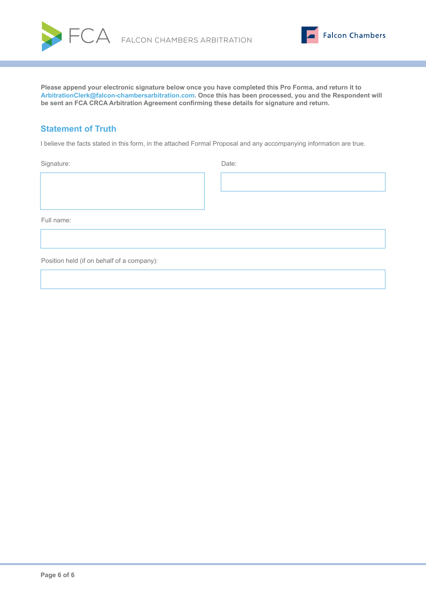



**Please append your electronic signature below once you have completed this Pro Forma, and return it to A[rbitrationClerk@falcon-chambersarbitration.com.](mailto:ArbitrationClerk%40falcon-chambersarbitration.com?subject=) Once this has been processed, you and the Respondent will be sent an FCA CRCA Arbitration Agreement confirming these details for signature and return.**

# **Statement of Truth**

I believe the facts stated in this form, in the attached Formal Proposal and any accompanying information are true.

Signature: Date: Date: Date: Date: Date: Date: Date: Date: Date: Date: Date: Date: Date: Date: Date: Date: Date: Date: Date: Date: Date: Date: Date: Date: Date: Date: Date: Date: Date: Date: Date: Date: Date: Date: Date: D

Full name:

Position held (if on behalf of a company):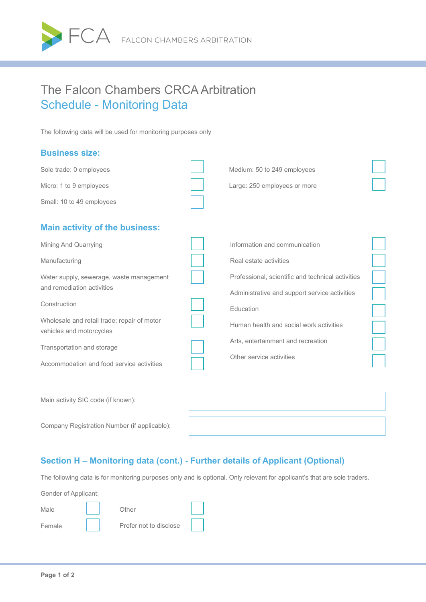

# The Falcon Chambers CRCA Arbitration Schedule - Monitoring Data

The following data will be used for monitoring purposes only

### **Business size:**

| Sole trade: 0 employees                                                        | Medium: 50 to 249 employees                                                                        |  |
|--------------------------------------------------------------------------------|----------------------------------------------------------------------------------------------------|--|
| Micro: 1 to 9 employees                                                        | Large: 250 employees or more                                                                       |  |
| Small: 10 to 49 employees                                                      |                                                                                                    |  |
| <b>Main activity of the business:</b><br>Mining And Quarrying<br>Manufacturing | Information and communication<br>Real estate activities                                            |  |
| Water supply, sewerage, waste management<br>and remediation activities         | Professional, scientific and technical activities<br>Administrative and support service activities |  |
| Construction                                                                   | Education                                                                                          |  |
| Wholesale and retail trade; repair of motor<br>vehicles and motorcycles        | Human health and social work activities                                                            |  |
| Transportation and storage                                                     | Arts, entertainment and recreation<br>Other service activities                                     |  |
| Accommodation and food service activities                                      |                                                                                                    |  |
| Main activity SIC code (if known):                                             |                                                                                                    |  |

Company Registration Number (if applicable):

# **Section H – Monitoring data (cont.) - Further details of Applicant (Optional)**

The following data is for monitoring purposes only and is optional. Only relevant for applicant's that are sole traders.

Gender of Applicant:

| Male   | Other                  |  |
|--------|------------------------|--|
| Female | Prefer not to disclose |  |